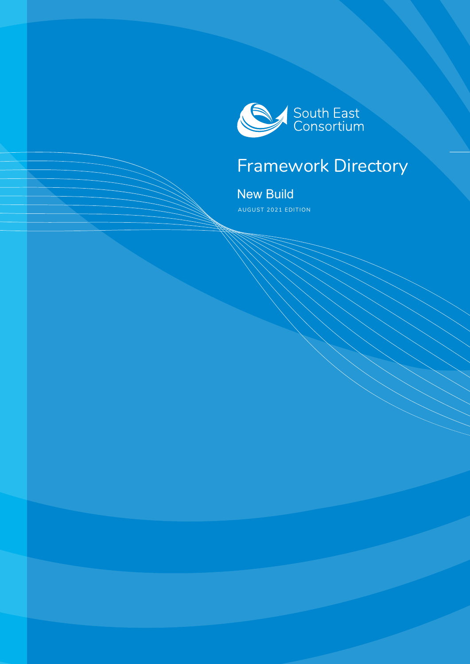

## Framework Directory

New Build AUGUST 2021 EDITION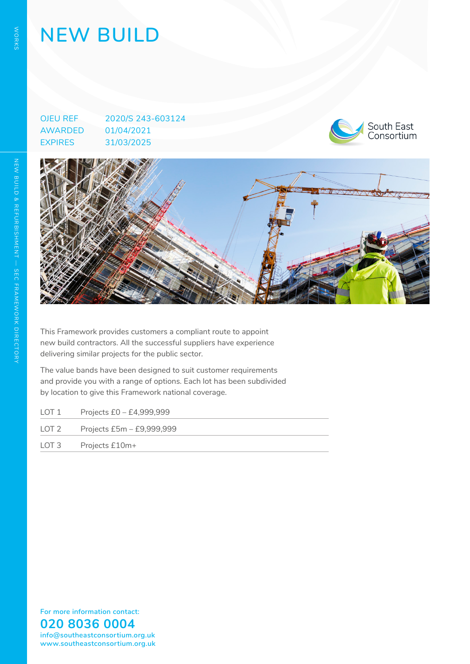# **NEW BUILD**

OJEU REF 2020/S 243-603124 AWARDED 01/04/2021 EXPIRES 31/03/2025





This Framework provides customers a compliant route to appoint new build contractors. All the successful suppliers have experience delivering similar projects for the public sector.

The value bands have been designed to suit customer requirements and provide you with a range of options. Each lot has been subdivided by location to give this Framework national coverage.

| LOT 1 | Projects £0 - £4,999,999  |
|-------|---------------------------|
| LOT 2 | Projects £5m - £9,999,999 |
|       | LOT 3 Projects £10m+      |

**For more information contact: 020 8036 0004 info@southeastconsortium.org.uk www.southeastconsortium.org.uk**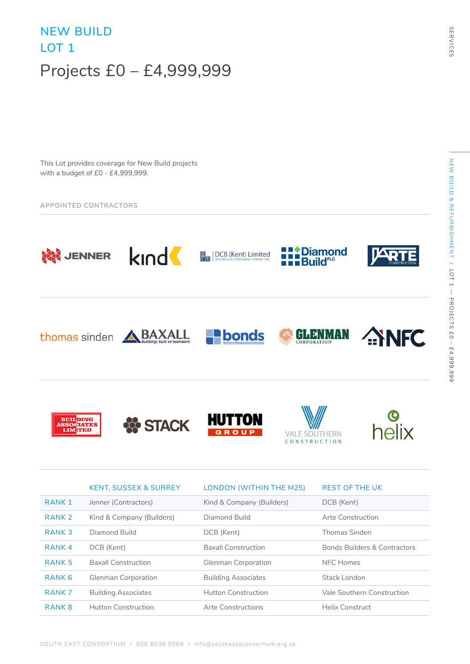## **NEW BUILD LOT 1**  Projects £0 – £4,999,999

This Lot provides coverage for New Build projects with a budget of £0 - £4,999,999.

#### APPOINTED CONTRACTORS



|                   | <b>KENT, SUSSEX &amp; SURREY</b> | LONDON (WITHIN THE M25)    | <b>REST OF THE UK</b>                   |
|-------------------|----------------------------------|----------------------------|-----------------------------------------|
| RANK 1            | Jenner (Contractors)             | Kind & Company (Builders)  | DCB (Kent)                              |
| RANK <sub>2</sub> | Kind & Company (Builders)        | Diamond Build              | Arte Construction                       |
| RANK <sub>3</sub> | Diamond Build                    | DCB (Kent)                 | Thomas Sinden                           |
| RANK <sub>4</sub> | DCB (Kent)                       | <b>Baxall Construction</b> | <b>Bonds Builders &amp; Contractors</b> |
| RANK <sub>5</sub> | <b>Baxall Construction</b>       | <b>Glenman Corporation</b> | NFC Homes                               |
| RANK <sub>6</sub> | <b>Glenman Corporation</b>       | <b>Building Associates</b> | Stack London                            |
| RANK <sub>7</sub> | <b>Building Associates</b>       | Hutton Construction        | Vale Southern Construction              |
| RANK <sub>8</sub> | Hutton Construction              | Arte Constructions         | <b>Helix Construct</b>                  |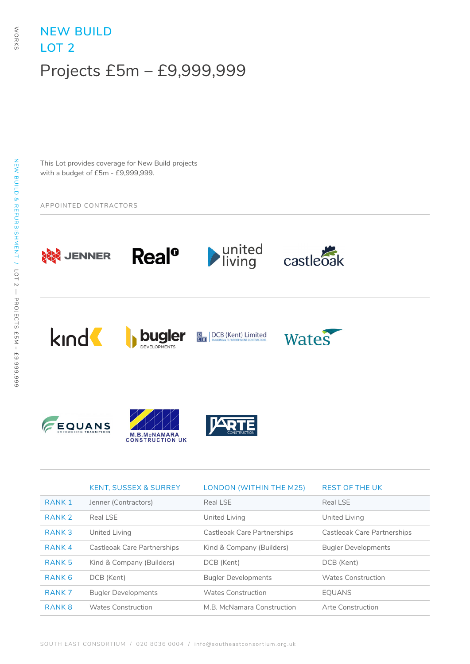### **NEW BUILD LOT 2**  Projects £5m – £9,999,999

This Lot provides coverage for New Build projects with a budget of £5m - £9,999,999.

APPOINTED CONTRACTORS



|                   | <b>KENT, SUSSEX &amp; SURREY</b>   | LONDON (WITHIN THE M25)     | <b>REST OF THE UK</b>       |
|-------------------|------------------------------------|-----------------------------|-----------------------------|
| RANK 1            | Jenner (Contractors)               | Real LSE                    | Real LSE                    |
| RANK <sub>2</sub> | Real LSE                           | United Living               | United Living               |
| RANK <sub>3</sub> | United Living                      | Castleoak Care Partnerships | Castleoak Care Partnerships |
| RANK <sub>4</sub> | <b>Castleoak Care Partnerships</b> | Kind & Company (Builders)   | <b>Bugler Developments</b>  |
| RANK <sub>5</sub> | Kind & Company (Builders)          | DCB (Kent)                  | DCB (Kent)                  |
| RANK <sub>6</sub> | DCB (Kent)                         | <b>Bugler Developments</b>  | Wates Construction          |
| RANK <sub>7</sub> | <b>Bugler Developments</b>         | Wates Construction          | <b>EQUANS</b>               |
| RANK <sub>8</sub> | Wates Construction                 | M.B. McNamara Construction  | Arte Construction           |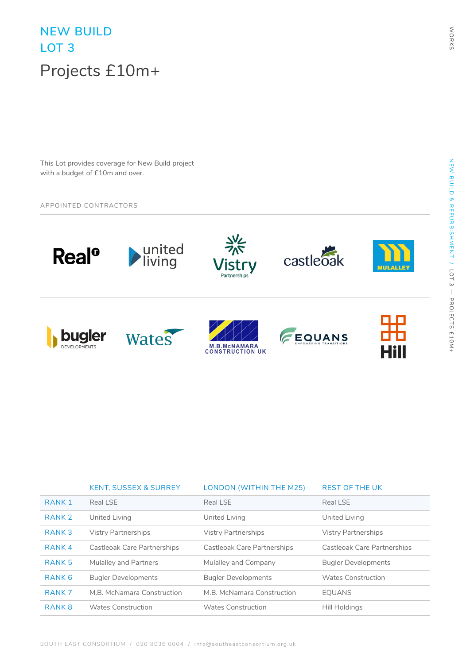## **NEW BUILD LOT 3**  Projects £10m+

This Lot provides coverage for New Build project with a budget of £10m and over.

#### APPOINTED CONTRACTORS



|                   | <b>KENT, SUSSEX &amp; SURREY</b> | LONDON (WITHIN THE M25)     | <b>REST OF THE UK</b>       |
|-------------------|----------------------------------|-----------------------------|-----------------------------|
| RANK <sub>1</sub> | Real LSE                         | Real LSE                    | Real LSE                    |
| RANK <sub>2</sub> | United Living                    | United Living               | United Living               |
| RANK <sub>3</sub> | <b>Vistry Partnerships</b>       | <b>Vistry Partnerships</b>  | <b>Vistry Partnerships</b>  |
| RANK <sub>4</sub> | Castleoak Care Partnerships      | Castleoak Care Partnerships | Castleoak Care Partnerships |
| RANK <sub>5</sub> | <b>Mulalley and Partners</b>     | Mulalley and Company        | <b>Bugler Developments</b>  |
| RANK <sub>6</sub> | <b>Bugler Developments</b>       | <b>Bugler Developments</b>  | Wates Construction          |
| RANK <sub>7</sub> | M.B. McNamara Construction       | M.B. McNamara Construction  | <b>EQUANS</b>               |
| RANK <sub>8</sub> | Wates Construction               | Wates Construction          | Hill Holdings               |